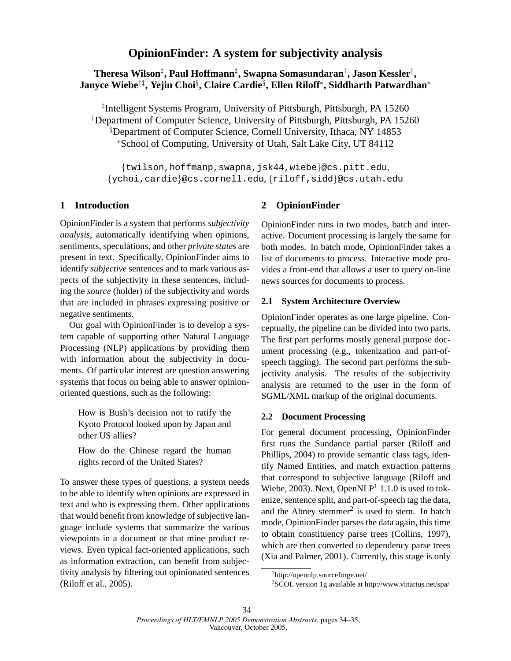# **Theresa Wilson**‡ **, Paul Hoffmann**‡ **, Swapna Somasundaran**† **, Jason Kessler**† **, Janyce Wiebe**†‡**, Yejin Choi**§ **, Claire Cardie**§ **, Ellen Riloff**<sup>∗</sup> **, Siddharth Patwardhan**<sup>∗</sup>

‡ Intelligent Systems Program, University of Pittsburgh, Pittsburgh, PA 15260 †Department of Computer Science, University of Pittsburgh, Pittsburgh, PA 15260 §Department of Computer Science, Cornell University, Ithaca, NY 14853 <sup>∗</sup>School of Computing, University of Utah, Salt Lake City, UT 84112

{twilson,hoffmanp,swapna,jsk44,wiebe}@cs.pitt.edu, {ychoi,cardie}@cs.cornell.edu, {riloff,sidd}@cs.utah.edu

### **1 Introduction**

OpinionFinder is a system that performs *subjectivity analysis*, automatically identifying when opinions, sentiments, speculations, and other *private states* are present in text. Specifically, OpinionFinder aims to identify *subjective* sentences and to mark various aspects of the subjectivity in these sentences, including the *source* (holder) of the subjectivity and words that are included in phrases expressing positive or negative sentiments.

Our goal with OpinionFinder is to develop a system capable of supporting other Natural Language Processing (NLP) applications by providing them with information about the subjectivity in documents. Of particular interest are question answering systems that focus on being able to answer opinionoriented questions, such as the following:

How is Bush's decision not to ratify the Kyoto Protocol looked upon by Japan and other US allies?

How do the Chinese regard the human rights record of the United States?

To answer these types of questions, a system needs to be able to identify when opinions are expressed in text and who is expressing them. Other applications that would benefit from knowledge of subjective language include systems that summarize the various viewpoints in a document or that mine product reviews. Even typical fact-oriented applications, such as information extraction, can benefit from subjectivity analysis by filtering out opinionated sentences (Riloff et al., 2005).

## **2 OpinionFinder**

OpinionFinder runs in two modes, batch and interactive. Document processing is largely the same for both modes. In batch mode, OpinionFinder takes a list of documents to process. Interactive mode provides a front-end that allows a user to query on-line news sources for documents to process.

### **2.1 System Architecture Overview**

OpinionFinder operates as one large pipeline. Conceptually, the pipeline can be divided into two parts. The first part performs mostly general purpose document processing (e.g., tokenization and part-ofspeech tagging). The second part performs the subjectivity analysis. The results of the subjectivity analysis are returned to the user in the form of SGML/XML markup of the original documents.

### **2.2 Document Processing**

For general document processing, OpinionFinder first runs the Sundance partial parser (Riloff and Phillips, 2004) to provide semantic class tags, identify Named Entities, and match extraction patterns that correspond to subjective language (Riloff and Wiebe, 2003). Next, Open $NLP<sup>1</sup>$  1.1.0 is used to tokenize, sentence split, and part-of-speech tag the data, and the Abney stemmer<sup>2</sup> is used to stem. In batch mode, OpinionFinder parses the data again, this time to obtain constituency parse trees (Collins, 1997), which are then converted to dependency parse trees (Xia and Palmer, 2001). Currently, this stage is only

<sup>1</sup> http://opennlp.sourceforge.net/

<sup>2</sup> SCOL version 1g available at http://www.vinartus.net/spa/